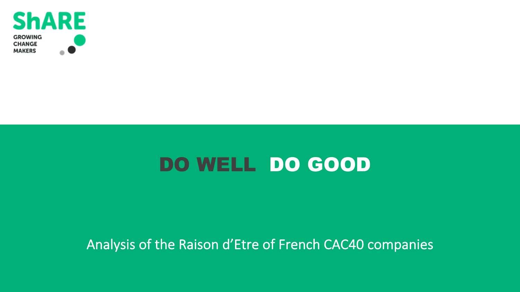

# DO WELL DO GOOD

## Analysis of the Raison d'Etre of French CAC40 companies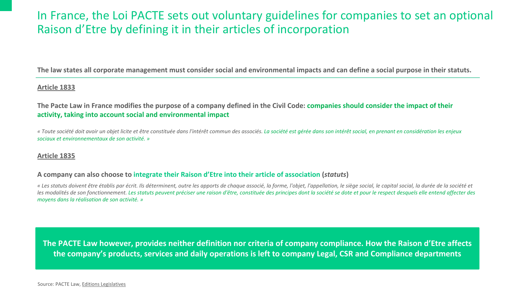### In France, the Loi PACTE sets out voluntary guidelines for Raison d'Etre by defining it in their articles of incorporat

The law states all corporate management must consider social and environmental impacts an

#### **Article 1833**

The Pacte Law in France modifies the purpose of a company defined in the Civil Code: companient of the impact of the impact of the impact of the impact of the impact of the impact of the impact of the impact of the impact **activity, taking into account social and environmental impact**

*«* Toute société doit avoir un objet licite et être constituée dans l'intérêt commun des associés. La société est gérée dans so *sociaux et environnementaux de son activité. »*

#### **Article 1835**

#### **A company can also choose to integrate their Raison d'Etre into their article of association (***statuts***)**

*«* Les statuts doivent être établis par écrit. Ils déterminent, outre les apports de chaque associé, la forme, l'objet, l'appellati les modalités de son fonctionnement. Les statuts peuvent préciser une raison d'être, constituée des principes dont la sociét *moyens dans la réalisation de son activité. »*

The PACTE Law however, provides neither definition nor criteria of company cor the company's products, services and daily operations is left to company Legal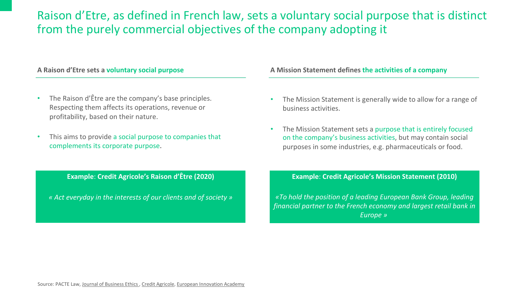### Raison d'Etre, as defined in French law, sets a voluntary from the purely commercial objectives of the company adoption.

| A Raison d'Etre sets a voluntary social purpose                                                                                                     | <b>A Mission Statemer</b>                            |
|-----------------------------------------------------------------------------------------------------------------------------------------------------|------------------------------------------------------|
| The Raison d'Être are the company's base principles.<br>Respecting them affects its operations, revenue or<br>profitability, based on their nature. | The Mission Sta<br>business activiti                 |
| This aims to provide a social purpose to companies that<br>complements its corporate purpose.                                                       | The Mission Sta<br>on the company<br>purposes in som |
| <b>Example: Credit Agricole's Raison d'Être (2020)</b>                                                                                              | <b>Example: Cre</b>                                  |
| « Act everyday in the interests of our clients and of society »                                                                                     | «To hold the positi<br>financial partner to          |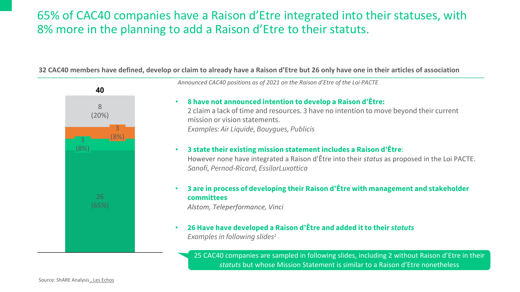### 65% of CAC40 companies have a Raison d'Etre integrate 8% more in the planning to add a Raison d'Etre to their statuts.

#### 32 CAC40 members have defined, develop or claim to already have a Raison d'Etre but 26 onl



Announced CAC40 positions as of 2021 on the Raison d'Etr

- **8 have not announced intention to develop** 2 claim a lack of time and resources. 3 have no mission or vision statements. *Examples: Air Liquide, Bouygues, Publicis*
- **3 state their existing mission statement includes a Raison d'Être**: However none have integrated a Raison d'Être *Sanofi, Pernod-Ricard, EssilorLuxottica*
- **3 are in process of developing their Raison of committees**

*Alstom, Teleperformance, Vinci*

• **26 Have have developed a Raison d'Être and added it to their** *statuts Examples in following slides1*

> 25 CAC40 companies are sampled in followir *statuts* but whose Mission Statement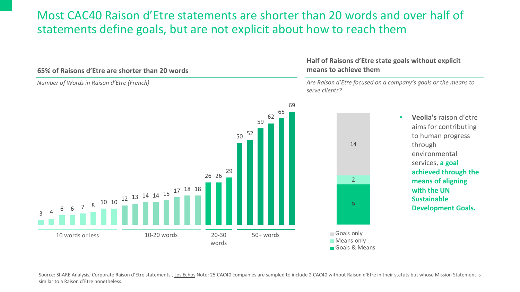### Most CAC40 Raison d'Etre statements are shorter than 20 statements define goals, but are not explicit about how



Source: ShARE Analysis, Corporate Raison d'Etre statements , Les Echos Note: 25 CAC40 companies are sampled to include 2 CAC40 w similar to a Raison d'Etre nonetheless.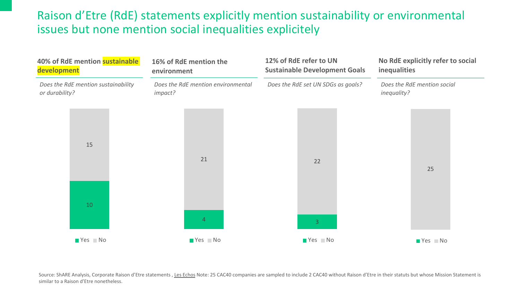### Raison d'Etre (RdE) statements explicitly mention sustai issues but none mention social inequalities explicitely



Source: ShARE Analysis, Corporate Raison d'Etre statements , Les Echos Note: 25 CAC40 companies are sampled to include 2 CAC40 w similar to a Raison d'Etre nonetheless.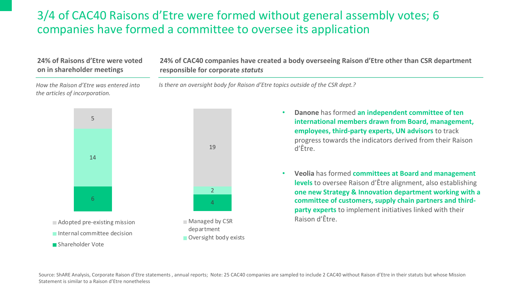### 3/4 of CAC40 Raisons d'Etre were formed without general assembly votes; 6 companies have formed a committee to oversee its application

### **24% of Raisons d'Etre were voted on in shareholder meetings**

**24% of CAC40 companies have created a body overseeing Raison d'Etre other than CSR department responsible for corporate** *statuts*

*How the Raison d'Etre was entered into the articles of incorporation.*

*Is there an oversight body for Raison d'Etre topics outside of the CSR dept.?*



- **Danone** has formed **an independent committee of ten international members drawn from Board, management, employees, third-party experts, UN advisors** to track progress towards the indicators derived from their Raison d'Être.
- **Veolia** has formed **committees at Board and management levels** to oversee Raison d'Être alignment, also establishing **one new Strategy & Innovation department working with a committee of customers, supply chain partners and thirdparty experts** to implement initiatives linked with their Raison d'Être.

Source: ShARE Analysis, Corporate Raison d'Etre statements, annual reports; Note: 25 CAC40 companies are sampled to include 2 CAC40 without Raison d'Etre in their statuts but whose Mission Statement is similar to a Raison d'Etre nonetheless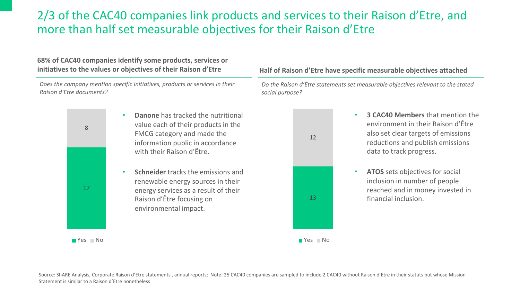### 2/3 of the CAC40 companies link products and services to their Raison d'Etre, and more than half set measurable objectives for their Raison d'Etre

#### **68% of CAC40 companies identify some products, services or initiatives to the values or objectives of their Raison d'Etre Half of Raison d'Etre have specific measurable objectives attached**

*Does the company mention specific initiatives, products or services in their Raison d'Etre documents?*

> 17 8

> > $\blacksquare$  Yes  $\blacksquare$  No

- **Danone** has tracked the nutritional value each of their products in the FMCG category and made the information public in accordance with their Raison d'Être.
- **Schneider** tracks the emissions and renewable energy sources in their energy services as a result of their Raison d'Être focusing on environmental impact.

13 12

*Do the Raison d'Etre statements set measurable objectives relevant to the stated social purpose?*

- **3 CAC40 Members** that mention the environment in their Raison d'Être also set clear targets of emissions reductions and publish emissions data to track progress.
- **ATOS** sets objectives for social inclusion in number of people reached and in money invested in financial inclusion.



Source: ShARE Analysis, Corporate Raison d'Etre statements, annual reports; Note: 25 CAC40 companies are sampled to include 2 CAC40 without Raison d'Etre in their statuts but whose Mission Statement is similar to a Raison d'Etre nonetheless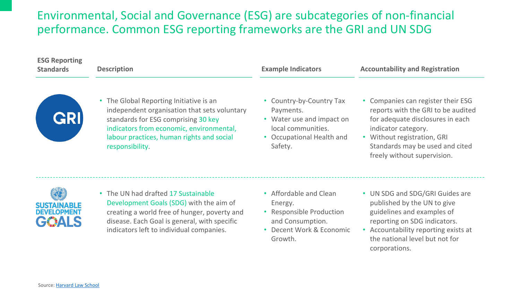### Environmental, Social and Governance (ESG) are subcate performance. Common ESG reporting frameworks are the

| <b>ESG Reporting</b><br><b>Standards</b>          | <b>Description</b>                                                                                                                                                                                                                                    | <b>Example Indicators</b>                                                                                              |  |
|---------------------------------------------------|-------------------------------------------------------------------------------------------------------------------------------------------------------------------------------------------------------------------------------------------------------|------------------------------------------------------------------------------------------------------------------------|--|
| <b>GRI</b>                                        | The Global Reporting Initiative is an<br>$\bullet$<br>independent organisation that sets voluntary<br>standards for ESG comprising 30 key<br>indicators from economic, environmental,<br>labour practices, human rights and social<br>responsibility. | Country-by-Country<br>Payments.<br>• Water use and impa<br>local communities.<br><b>Occupational Health</b><br>Safety. |  |
| <b>SUSTAINABLE</b><br><b>DEVELOPMENT</b><br>GOALS | • The UN had drafted 17 Sustainable<br>Development Goals (SDG) with the aim of<br>creating a world free of hunger, poverty and<br>disease. Each Goal is general, with specific<br>indicators left to individual companies.                            | • Affordable and Clea<br>Energy.<br>• Responsible Produc<br>and Consumption.<br>• Decent Work & Eco<br>Growth.         |  |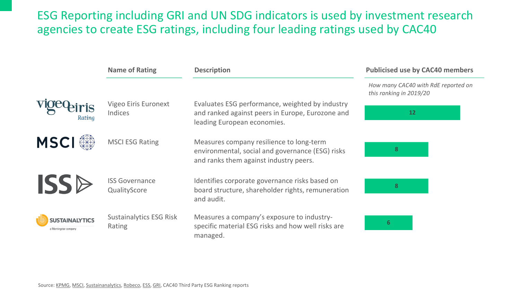### ESG Reporting including GRI and UN SDG indicators is us agencies to create ESG ratings, including four leading ratings

|                                                | <b>Name of Rating</b>                    | <b>Description</b>                                                                                                               |
|------------------------------------------------|------------------------------------------|----------------------------------------------------------------------------------------------------------------------------------|
| Rating                                         | Vigeo Eiris Euronext<br><b>Indices</b>   | Evaluates ESG performance, weighted by ind<br>and ranked against peers in Europe, Eurozon<br>leading European economies.         |
| <b>MSCI</b>                                    | <b>MSCI ESG Rating</b>                   | Measures company resilience to long-term<br>environmental, social and governance (ESG)<br>and ranks them against industry peers. |
| <b>ISSB</b>                                    | <b>ISS Governance</b><br>QualityScore    | Identifies corporate governance risks based<br>board structure, shareholder rights, remuner<br>and audit.                        |
| <b>SUSTAINALYTICS</b><br>a Morningstar company | <b>Sustainalytics ESG Risk</b><br>Rating | Measures a company's exposure to industry-<br>specific material ESG risks and how well risks<br>managed.                         |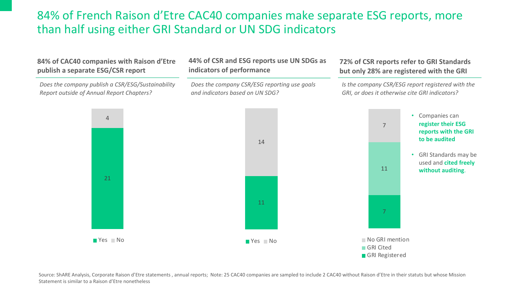### 84% of French Raison d'Etre CAC40 companies make separate ESG reports, more than half using either GRI Standard or UN SDG indicators



Source: ShARE Analysis, Corporate Raison d'Etre statements, annual reports; Note: 25 CAC40 companies are sampled to include 2 CAC40 without Raison d'Etre in their statuts but whose Mission Statement is similar to a Raison d'Etre nonetheless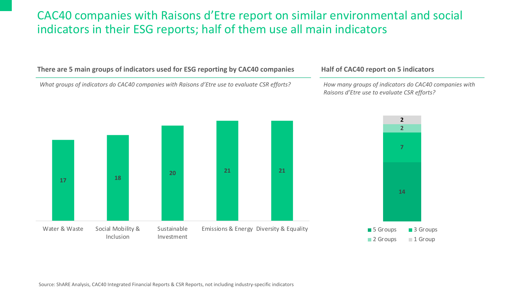### CAC40 companies with Raisons d'Etre report on similar environmental and social indicators in their ESG reports; half of them use all main indicators

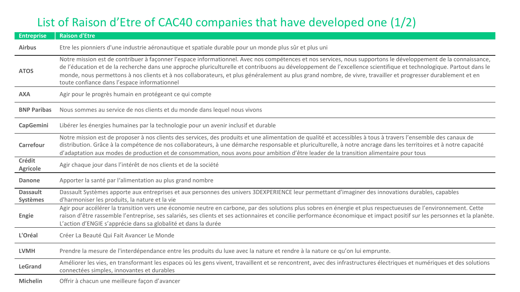### List of Raison d'Etre of CAC40 companies that have developed one (1/2)

| <b>Entreprise</b>                  | <b>Raison d'Etre</b>                                                                                                                                                                                                                                                                                                                                                                                                                                                                                                                                  |
|------------------------------------|-------------------------------------------------------------------------------------------------------------------------------------------------------------------------------------------------------------------------------------------------------------------------------------------------------------------------------------------------------------------------------------------------------------------------------------------------------------------------------------------------------------------------------------------------------|
| <b>Airbus</b>                      | Etre les pionniers d'une industrie aéronautique et spatiale durable pour un monde plus sûr et plus uni                                                                                                                                                                                                                                                                                                                                                                                                                                                |
| <b>ATOS</b>                        | Notre mission est de contribuer à façonner l'espace informationnel. Avec nos compétences et nos services, nous supportons le développement de la connaissance,<br>de l'éducation et de la recherche dans une approche pluriculturelle et contribuons au développement de l'excellence scientifique et technologique. Partout dans le<br>monde, nous permettons à nos clients et à nos collaborateurs, et plus généralement au plus grand nombre, de vivre, travailler et progresser durablement et en<br>toute confiance dans l'espace informationnel |
| <b>AXA</b>                         | Agir pour le progrès humain en protégeant ce qui compte                                                                                                                                                                                                                                                                                                                                                                                                                                                                                               |
| <b>BNP Paribas</b>                 | Nous sommes au service de nos clients et du monde dans lequel nous vivons                                                                                                                                                                                                                                                                                                                                                                                                                                                                             |
| <b>CapGemini</b>                   | Libérer les énergies humaines par la technologie pour un avenir inclusif et durable                                                                                                                                                                                                                                                                                                                                                                                                                                                                   |
| Carrefour                          | Notre mission est de proposer à nos clients des services, des produits et une alimentation de qualité et accessibles à tous à travers l'ensemble des canaux de<br>distribution. Grâce à la compétence de nos collaborateurs, à une démarche responsable et pluriculturelle, à notre ancrage dans les territoires et à notre capacité<br>d'adaptation aux modes de production et de consommation, nous avons pour ambition d'être leader de la transition alimentaire pour tous                                                                        |
| Crédit<br><b>Agricole</b>          | Agir chaque jour dans l'intérêt de nos clients et de la société                                                                                                                                                                                                                                                                                                                                                                                                                                                                                       |
| <b>Danone</b>                      | Apporter la santé par l'alimentation au plus grand nombre                                                                                                                                                                                                                                                                                                                                                                                                                                                                                             |
| <b>Dassault</b><br><b>Systèmes</b> | Dassault Systèmes apporte aux entreprises et aux personnes des univers 3DEXPERIENCE leur permettant d'imaginer des innovations durables, capables<br>d'harmoniser les produits, la nature et la vie                                                                                                                                                                                                                                                                                                                                                   |
| Engie                              | Agir pour accélérer la transition vers une économie neutre en carbone, par des solutions plus sobres en énergie et plus respectueuses de l'environnement. Cette<br>raison d'être rassemble l'entreprise, ses salariés, ses clients et ses actionnaires et concilie performance économique et impact positif sur les personnes et la planète.<br>L'action d'ENGIE s'apprécie dans sa globalité et dans la durée                                                                                                                                        |
| L'Oréal                            | Créer La Beauté Qui Fait Avancer Le Monde                                                                                                                                                                                                                                                                                                                                                                                                                                                                                                             |
| <b>LVMH</b>                        | Prendre la mesure de l'interdépendance entre les produits du luxe avec la nature et rendre à la nature ce qu'on lui emprunte.                                                                                                                                                                                                                                                                                                                                                                                                                         |
| <b>LeGrand</b>                     | Améliorer les vies, en transformant les espaces où les gens vivent, travaillent et se rencontrent, avec des infrastructures électriques et numériques et des solutions<br>connectées simples, innovantes et durables                                                                                                                                                                                                                                                                                                                                  |
| <b>Michelin</b>                    | Offrir à chacun une meilleure façon d'avancer                                                                                                                                                                                                                                                                                                                                                                                                                                                                                                         |